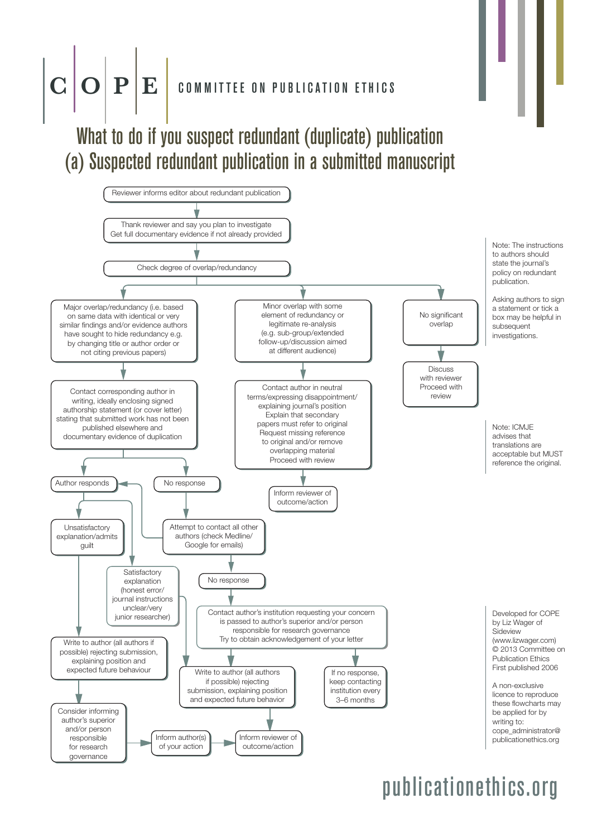### $\mathbf{C} \,|\, \mathbf{O} \,|\, \mathbf{P} \,|\, \mathbf{E} \,|\,$  committee on publication ethics

### What to do if you suspect redundant (duplicate) publication (a) Suspected redundant publication in a submitted manuscript

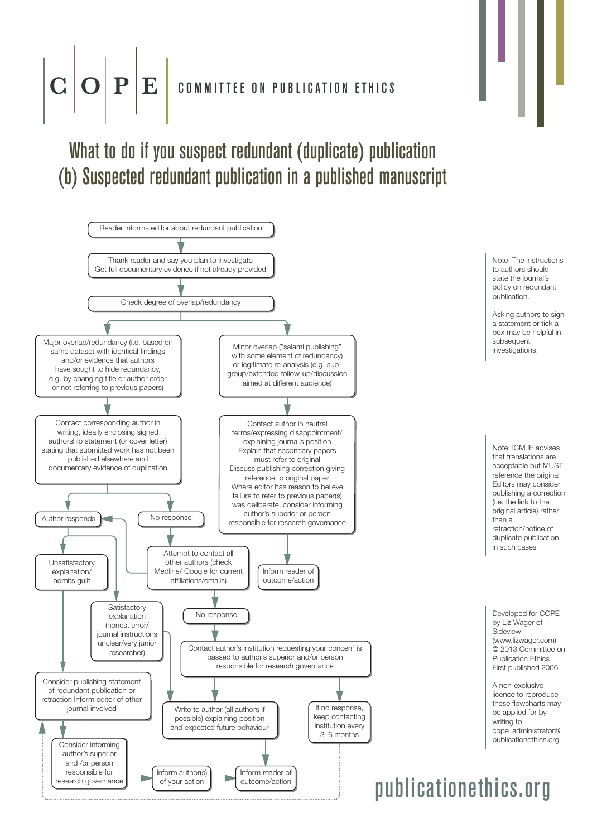## **P** E **COMMITTEE ON PUBLICATION ETHICS**

### What to do if you suspect redundant (duplicate) publication (b) Suspected redundant publication in a published manuscript

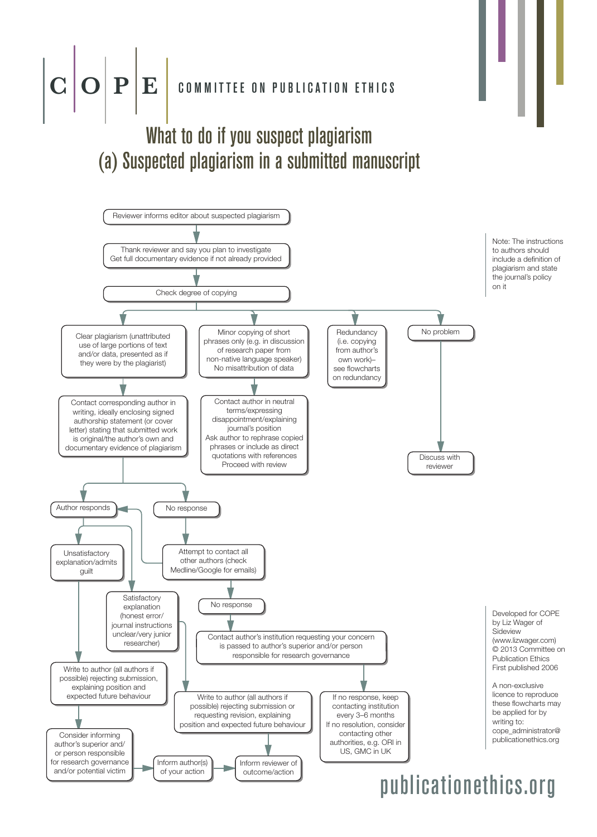

Inform author(s) of your action

author's superior and/ or person responsible for research governance and/or potential victim

Inform reviewer of outcome/action

authorities, e.g. ORI in US, GMC in UK

cope\_administrator@ publicationethics.org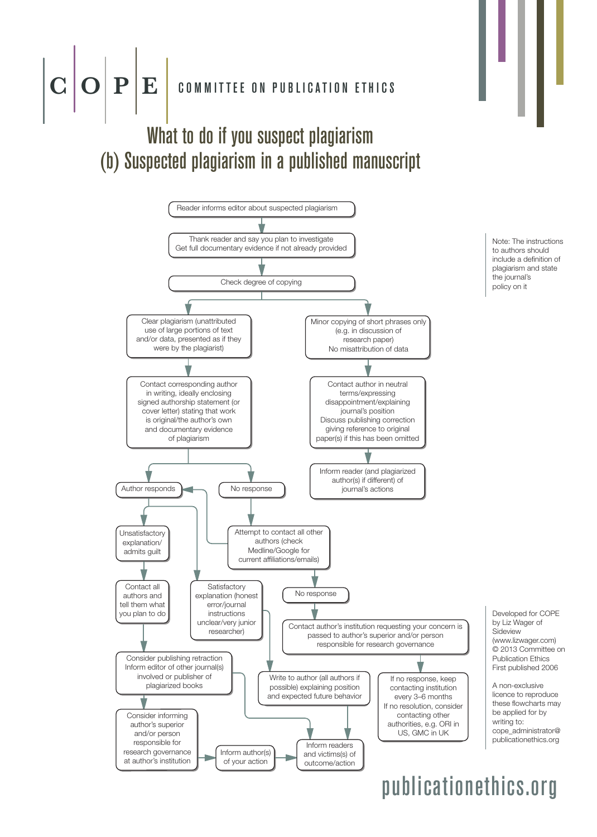

### What to do if you suspect plagiarism (b) Suspected plagiarism in a published manuscript



Note: The instructions to authors should include a definition of plagiarism and state the journal's policy on it

Developed for COPE by Liz Wager of Sideview (www.lizwager.com) © 2013 Committee on Publication Ethics First published 2006

A non-exclusive licence to reproduce these flowcharts may be applied for by writing to: cope\_administrator@ publicationethics.org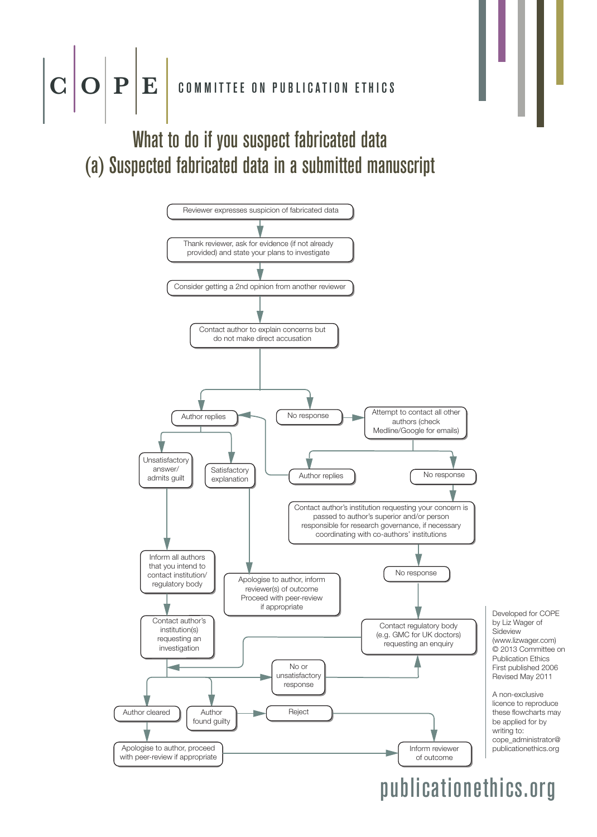

### What to do if you suspect fabricated data (a) Suspected fabricated data in a submitted manuscript

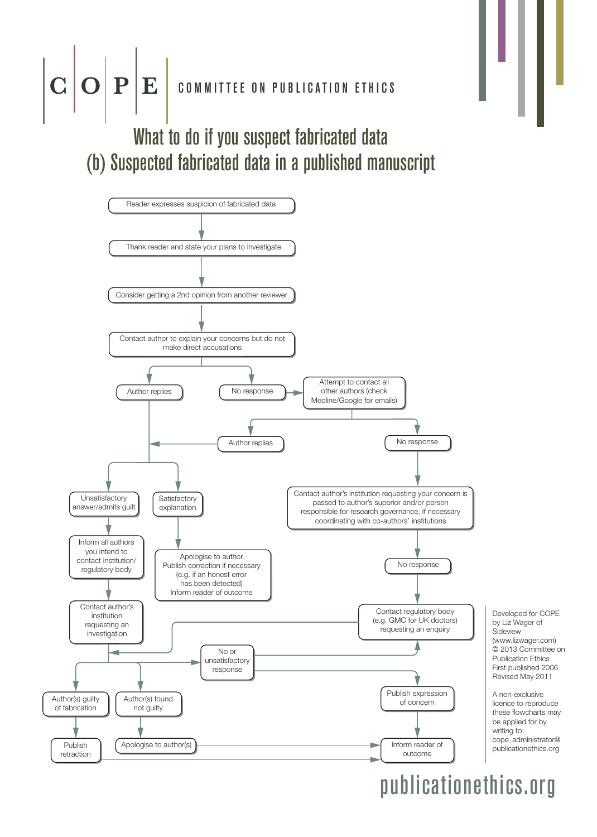

### What to do if you suspect fabricated data (b) Suspected fabricated data in a published manuscript

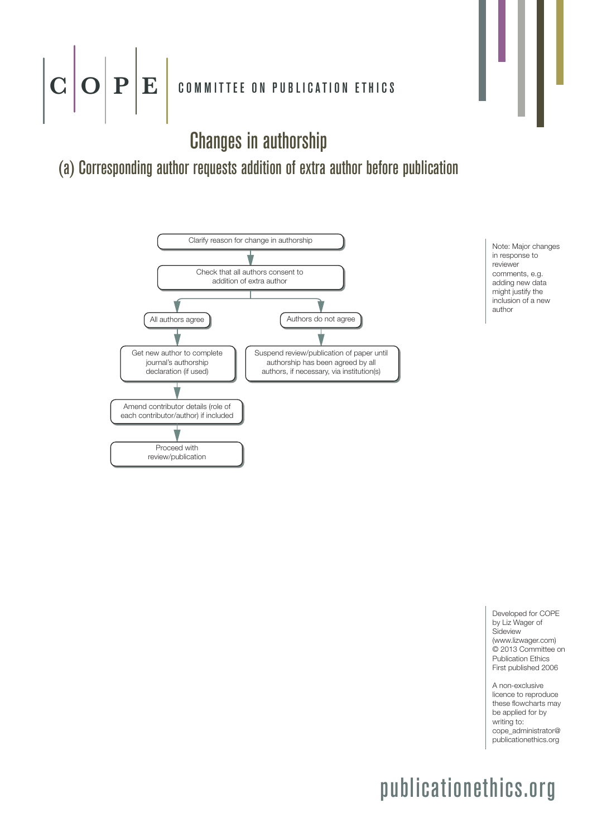## $\mathbf{C} \|\mathbf{O}\|\mathbf{P}\|\mathbf{E}\|$  committee on publication ethics

Changes in authorship

#### (a) Corresponding author requests addition of extra author before publication



Note: Major changes in response to reviewer comments, e.g. adding new data might justify the inclusion of a new author

Developed for COPE by Liz Wager of **Sideview** (www.lizwager.com) © 2013 Committee on Publication Ethics First published 2006

A non-exclusive licence to reproduce these flowcharts may be applied for by writing to: cope\_administrator@ publicationethics.org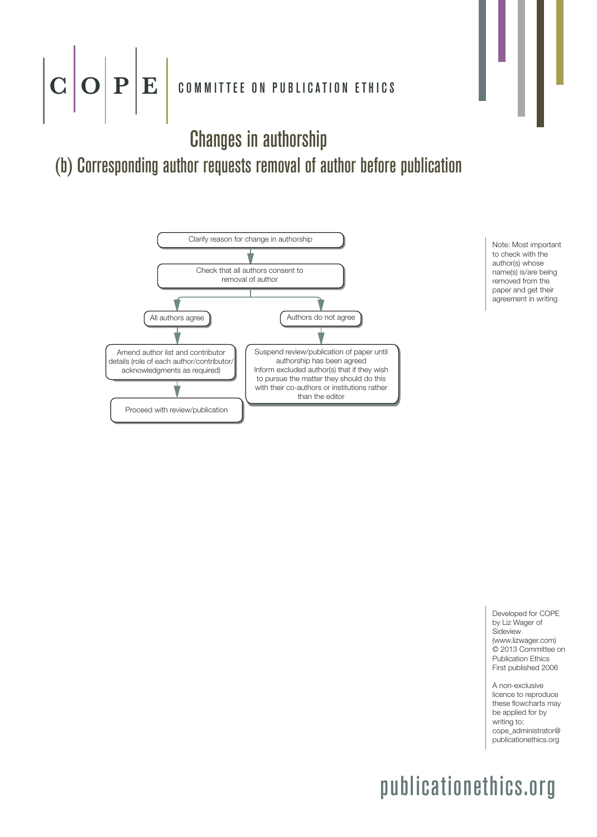## $\mathbf{C} \|\mathbf{O}\|\mathbf{P}\|\mathbf{E}\|$  committee on publication ethics

Changes in authorship

### (b) Corresponding author requests removal of author before publication



Note: Most important to check with the author(s) whose name(s) is/are being removed from the paper and get their agreement in writing

Developed for COPE by Liz Wager of **Sideview** (www.lizwager.com) © 2013 Committee on Publication Ethics First published 2006

A non-exclusive licence to reproduce these flowcharts may be applied for by writing to: cope\_administrator@ publicationethics.org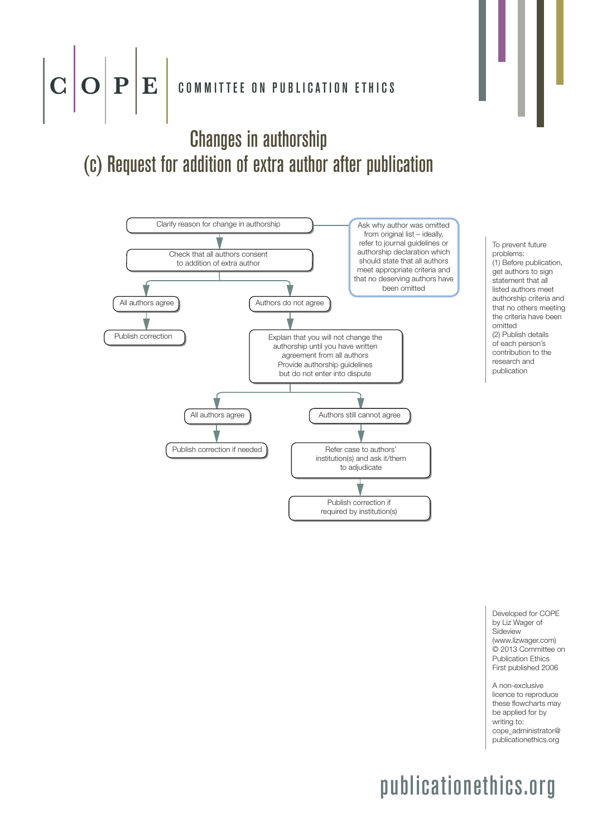

#### Changes in authorship (c) Request for addition of extra author after publication



To prevent future problems: (1) Before publication, get authors to sign statement that all listed authors meet authorship criteria and that no others meeting the criteria have been omitted (2) Publish details of each person's contribution to the research and publication

Developed for COPE by Liz Wager of **Sideview** (www.lizwager.com) © 2013 Committee on Publication Ethics First published 2006

A non-exclusive licence to reproduce these flowcharts may be applied for by writing to: cope\_administrator@ publicationethics.org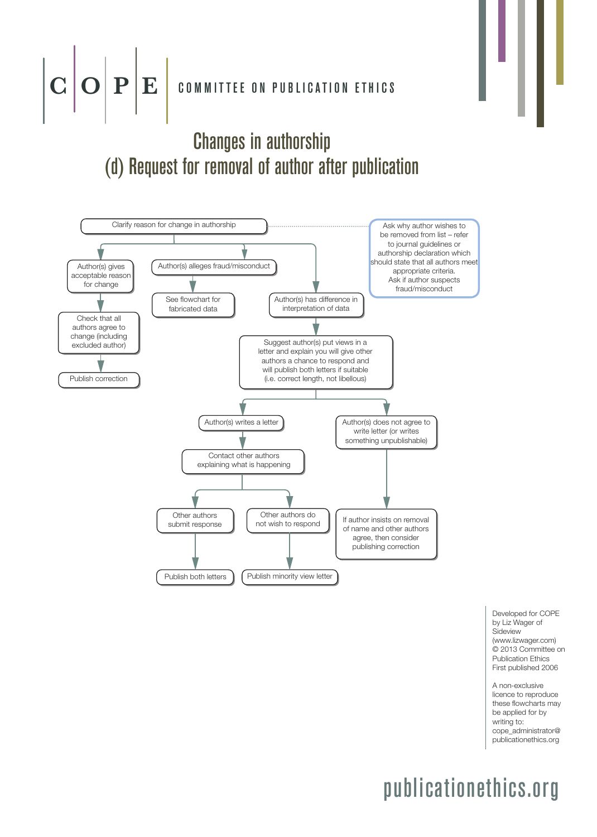# $\textbf{C} \textbf{O} \textbf{P} \textbf{E}$  committee on publication ethics

### Changes in authorship (d) Request for removal of author after publication



Developed for COPE by Liz Wager of Sideview (www.lizwager.com) © 2013 Committee on Publication Ethics First published 2006

A non-exclusive licence to reproduce these flowcharts may be applied for by writing to: cope\_administrator@ publicationethics.org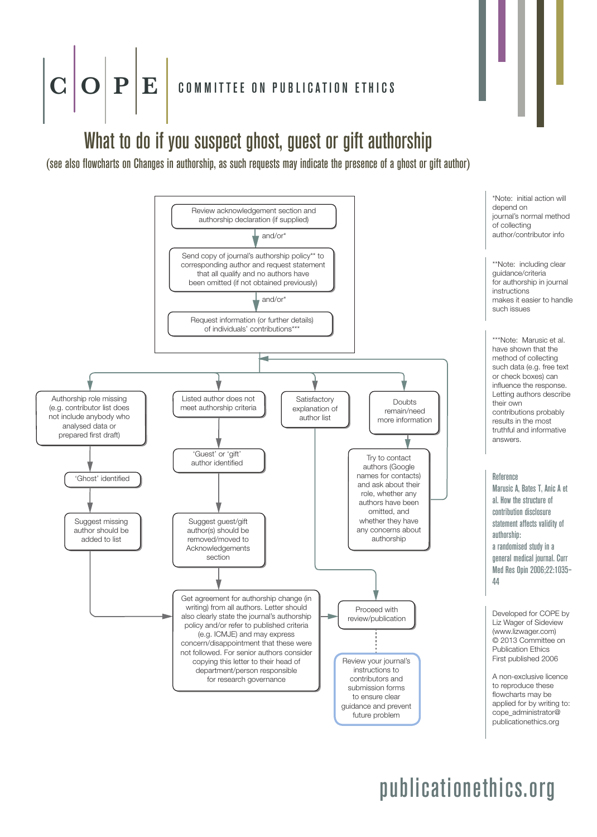### $\mathbf{P} | \mathbf{E} |$  committee on publication ethics

### What to do if you suspect ghost, guest or gift authorship

(see also flowcharts on Changes in authorship, as such requests may indicate the presence of a ghost or gift author)

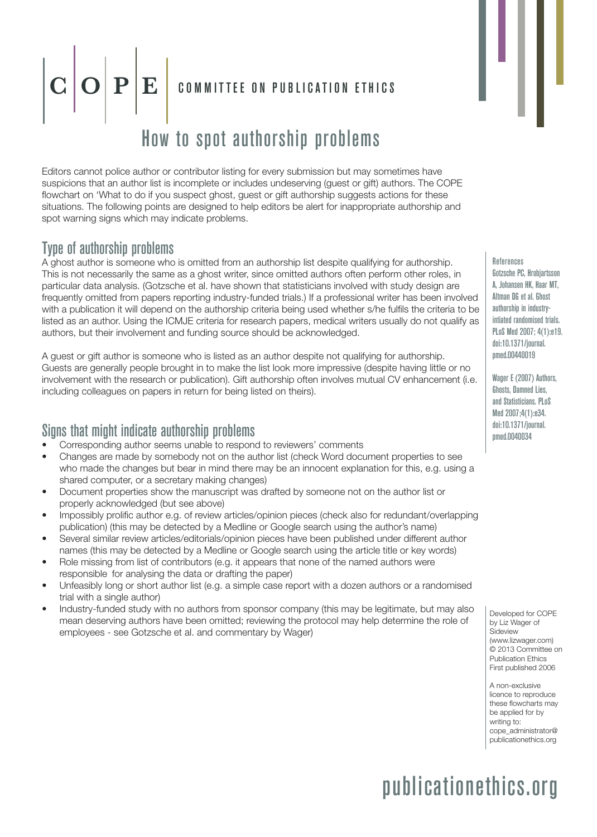## $\mathbf{P} \mathbf{E}$  committee on publication ethics

#### How to spot authorship problems

Editors cannot police author or contributor listing for every submission but may sometimes have suspicions that an author list is incomplete or includes undeserving (guest or gift) authors. The COPE flowchart on 'What to do if you suspect ghost, guest or gift authorship suggests actions for these situations. The following points are designed to help editors be alert for inappropriate authorship and spot warning signs which may indicate problems.

#### Type of authorship problems

A ghost author is someone who is omitted from an authorship list despite qualifying for authorship. This is not necessarily the same as a ghost writer, since omitted authors often perform other roles, in particular data analysis. (Gotzsche et al. have shown that statisticians involved with study design are frequently omitted from papers reporting industry-funded trials.) If a professional writer has been involved with a publication it will depend on the authorship criteria being used whether s/he fulfils the criteria to be listed as an author. Using the ICMJE criteria for research papers, medical writers usually do not qualify as authors, but their involvement and funding source should be acknowledged.

A guest or gift author is someone who is listed as an author despite not qualifying for authorship. Guests are generally people brought in to make the list look more impressive (despite having little or no involvement with the research or publication). Gift authorship often involves mutual CV enhancement (i.e. including colleagues on papers in return for being listed on theirs).

#### Signs that might indicate authorship problems

- Corresponding author seems unable to respond to reviewers' comments
- Changes are made by somebody not on the author list (check Word document properties to see who made the changes but bear in mind there may be an innocent explanation for this, e.g. using a shared computer, or a secretary making changes)
- Document properties show the manuscript was drafted by someone not on the author list or properly acknowledged (but see above)
- Impossibly prolific author e.g. of review articles/opinion pieces (check also for redundant/overlapping publication) (this may be detected by a Medline or Google search using the author's name)
- Several similar review articles/editorials/opinion pieces have been published under different author names (this may be detected by a Medline or Google search using the article title or key words)
- Role missing from list of contributors (e.g. it appears that none of the named authors were responsible for analysing the data or drafting the paper)
- Unfeasibly long or short author list (e.g. a simple case report with a dozen authors or a randomised trial with a single author)
- Industry-funded study with no authors from sponsor company (this may be legitimate, but may also mean deserving authors have been omitted; reviewing the protocol may help determine the role of employees - see Gotzsche et al. and commentary by Wager)

**References** Gotzsche PC, Hrobjartsson A, Johansen HK, Haar MT, Altman DG et al. Ghost authorshin in industryintiated randomised trials. PLoS Med 2007; 4(1):e19. doi:10.1371/journal. pmed.00440019

Wager E (2007) Authors, Ghosts, Damned Lies, and Statisticians. PLoS Med 2007;4(1):e34. doi:10.1371/journal. pmed.0040034

Developed for COPE by Liz Wager of Sideview (www.lizwager.com) © 2013 Committee on Publication Ethics First published 2006

A non-exclusive licence to reproduce these flowcharts may be applied for by writing to: cope\_administrator@ publicationethics.org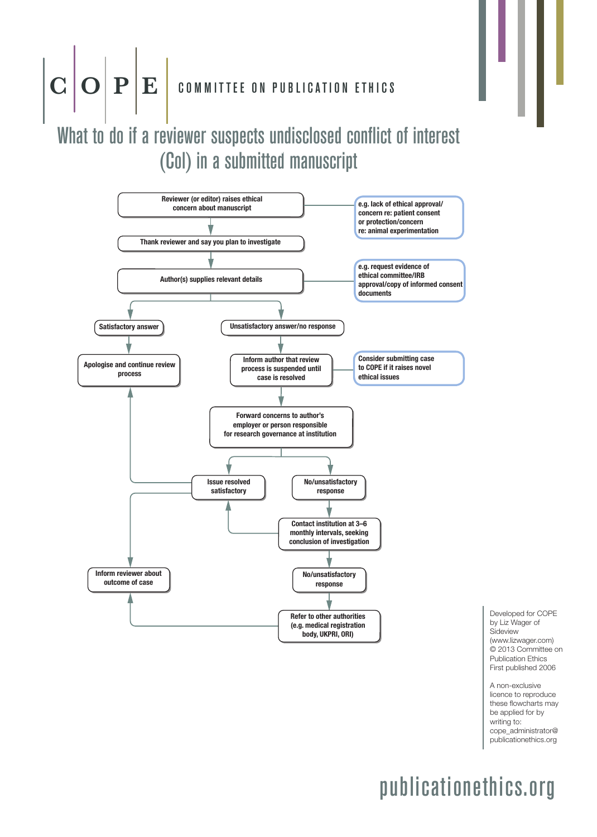### $\mathbf{C}\left|\mathbf{O}\right|\mathbf{P}\Big|\mathbf{E}\Big|$  committee on publication ethics

### What to do if a reviewer suspects undisclosed conflict of interest (Col) in a submitted manuscript



Developed for COPE by Liz Wager of Sideview (www.lizwager.com) © 2013 Committee on Publication Ethics First published 2006

A non-exclusive licence to reproduce these flowcharts may be applied for by writing to: cope\_administrator@ publicationethics.org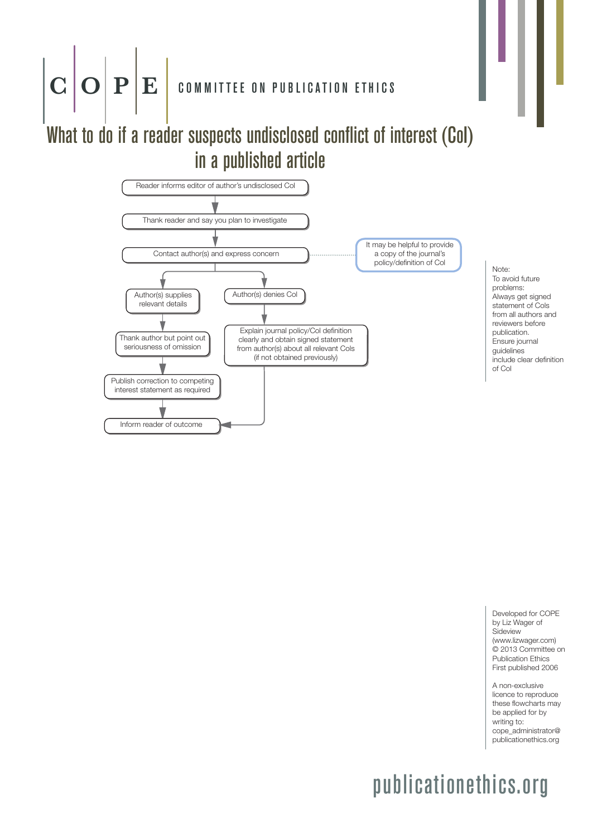### $\mathbf{C}\,\big|\!\mathbf{O}\big|\,\mathbf{P}\big|\mathbf{E}\,\big|$  committee on publication ethics

### What to do if a reader suspects undisclosed conflict of interest (CoI) in a published article



Note: To avoid future problems: Always get signed statement of Cols from all authors and reviewers before publication. Ensure journal guidelines include clear definition of Col

Developed for COPE by Liz Wager of **Sideview** (www.lizwager.com) © 2013 Committee on Publication Ethics First published 2006

A non-exclusive licence to reproduce these flowcharts may be applied for by writing to: cope\_administrator@ publicationethics.org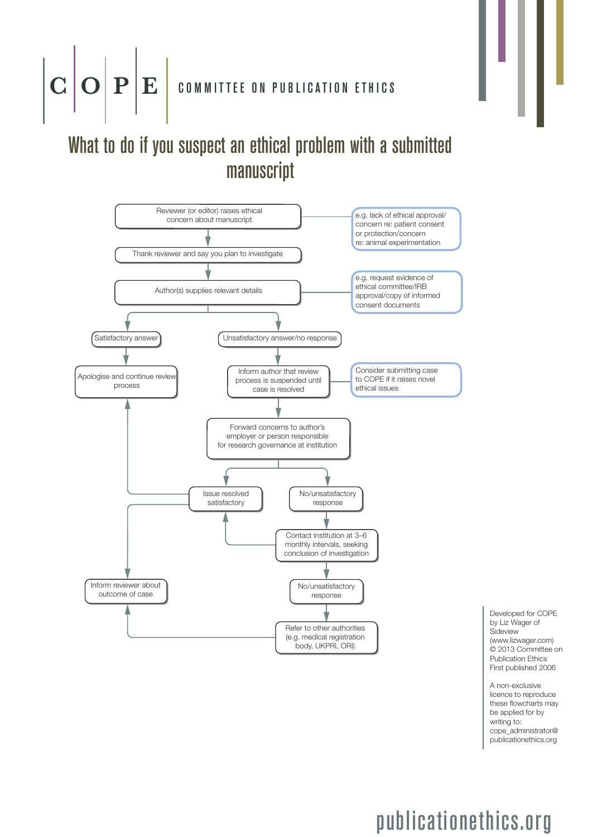### $\mathbf{C}\left|\mathbf{O}\right|\mathbf{P}\left|\mathbf{E}\right|$  committee on publication ethics

### What to do if you suspect an ethical problem with a submitted manuscript



Developed for COPE by Liz Wager of Sideview (www.lizwager.com) © 2013 Committee on Publication Ethics First published 2006

A non-exclusive licence to reproduce these flowcharts may be applied for by writing to: cope\_administrator@ publicationethics.org